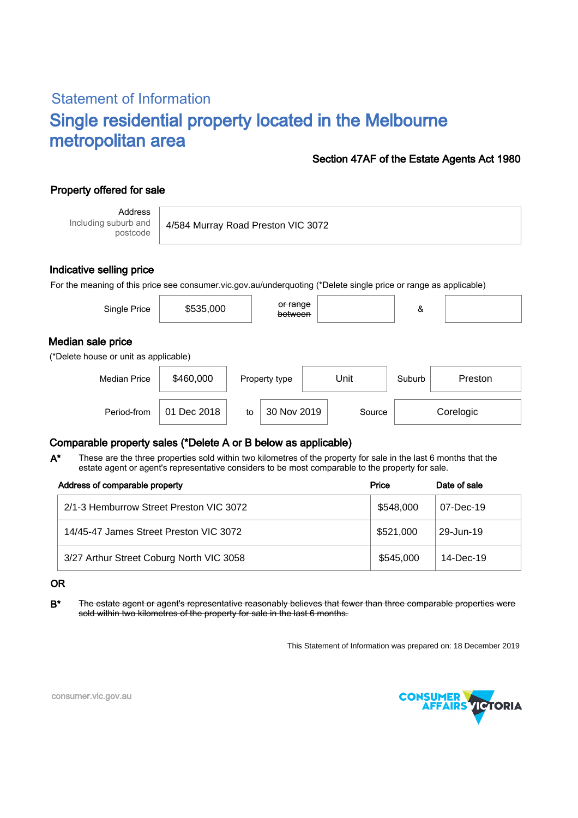# Statement of Information Single residential property located in the Melbourne metropolitan area

### Section 47AF of the Estate Agents Act 1980

## Property offered for sale

Address Including suburb and postcode

4/584 Murray Road Preston VIC 3072

### Indicative selling price

For the meaning of this price see consumer.vic.gov.au/underquoting (\*Delete single price or range as applicable)

| Single Price                                               | \$535,000 | or range<br>between |      | &      |         |
|------------------------------------------------------------|-----------|---------------------|------|--------|---------|
| Median sale price<br>(*Delete house or unit as applicable) |           |                     |      |        |         |
| <b>Median Price</b>                                        | \$460,000 | Property type       | Unit | Suburb | Preston |

### Comparable property sales (\*Delete A or B below as applicable)

These are the three properties sold within two kilometres of the property for sale in the last 6 months that the estate agent or agent's representative considers to be most comparable to the property for sale. A\*

Period-from  $\vert$  01 Dec 2018  $\vert$  to  $\vert$  30 Nov 2019  $\vert$  Source

| Address of comparable property           | Price     | Date of sale    |
|------------------------------------------|-----------|-----------------|
| 2/1-3 Hemburrow Street Preston VIC 3072  | \$548,000 | $07 - Dec - 19$ |
| 14/45-47 James Street Preston VIC 3072   | \$521,000 | 29-Jun-19       |
| 3/27 Arthur Street Coburg North VIC 3058 | \$545,000 | $14$ -Dec-19    |

#### OR

B<sup>\*</sup> The estate agent or agent's representative reasonably believes that fewer than three comparable properties were sold within two kilometres of the property for sale in the last 6 months.

This Statement of Information was prepared on: 18 December 2019

30 Nov 2019 Source Corelogic



consumer.vic.gov.au